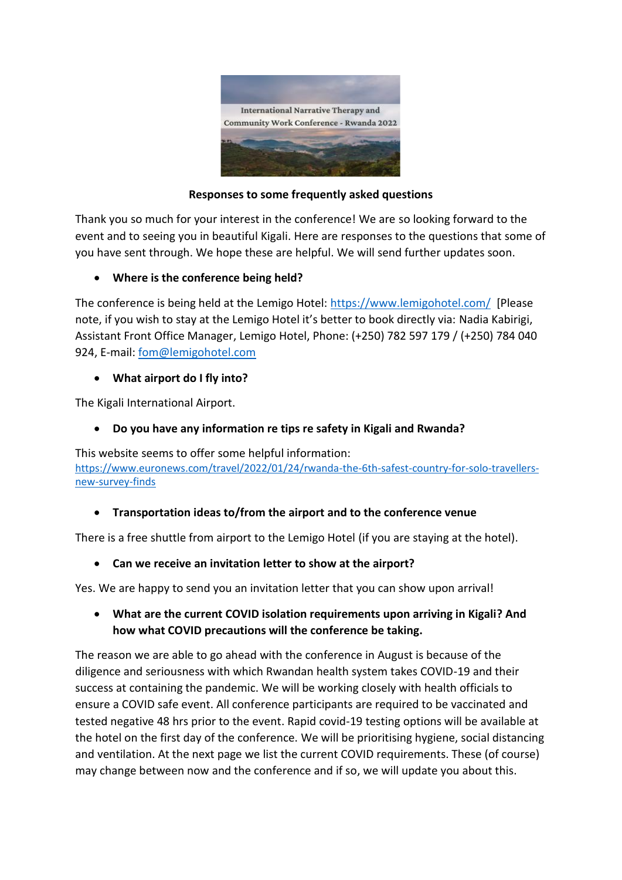

#### **Responses to some frequently asked questions**

Thank you so much for your interest in the conference! We are so looking forward to the event and to seeing you in beautiful Kigali. Here are responses to the questions that some of you have sent through. We hope these are helpful. We will send further updates soon.

### • **Where is the conference being held?**

The conference is being held at the Lemigo Hotel:<https://www.lemigohotel.com/>[Please note, if you wish to stay at the Lemigo Hotel it's better to book directly via: Nadia Kabirigi, Assistant Front Office Manager, Lemigo Hotel, Phone: (+250) 782 597 179 / (+250) 784 040 924, E-mail: [fom@lemigohotel.com](mailto:fom@lemigohotel.com)

### • **What airport do I fly into?**

The Kigali International Airport.

## • **Do you have any information re tips re safety in Kigali and Rwanda?**

This website seems to offer some helpful information: [https://www.euronews.com/travel/2022/01/24/rwanda-the-6th-safest-country-for-solo-travellers](https://www.euronews.com/travel/2022/01/24/rwanda-the-6th-safest-country-for-solo-travellers-new-survey-finds)[new-survey-finds](https://www.euronews.com/travel/2022/01/24/rwanda-the-6th-safest-country-for-solo-travellers-new-survey-finds)

## • **Transportation ideas to/from the airport and to the conference venue**

There is a free shuttle from airport to the Lemigo Hotel (if you are staying at the hotel).

## • **Can we receive an invitation letter to show at the airport?**

Yes. We are happy to send you an invitation letter that you can show upon arrival!

## • **What are the current COVID isolation requirements upon arriving in Kigali? And how what COVID precautions will the conference be taking.**

The reason we are able to go ahead with the conference in August is because of the diligence and seriousness with which Rwandan health system takes COVID-19 and their success at containing the pandemic. We will be working closely with health officials to ensure a COVID safe event. All conference participants are required to be vaccinated and tested negative 48 hrs prior to the event. Rapid covid-19 testing options will be available at the hotel on the first day of the conference. We will be prioritising hygiene, social distancing and ventilation. At the next page we list the current COVID requirements. These (of course) may change between now and the conference and if so, we will update you about this.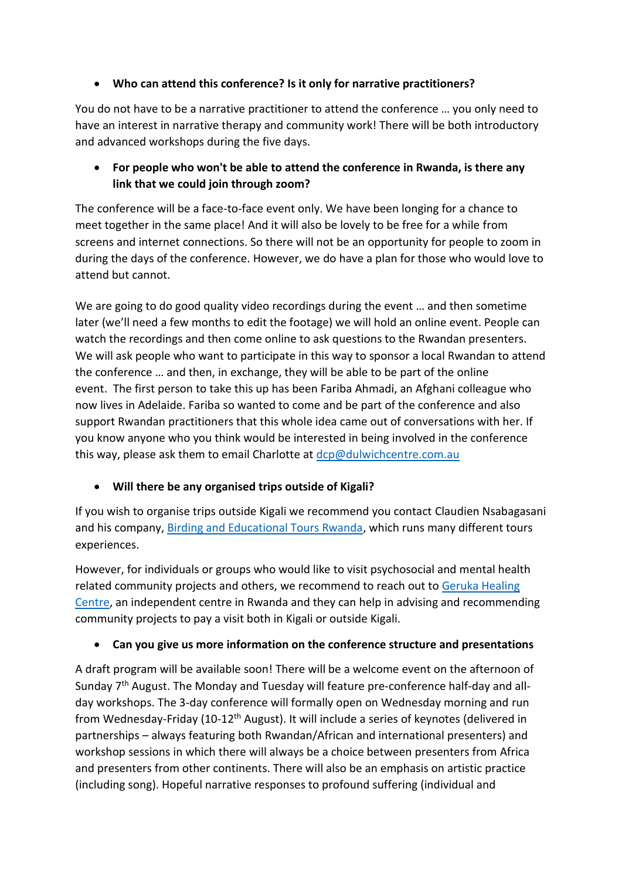## • **Who can attend this conference? Is it only for narrative practitioners?**

You do not have to be a narrative practitioner to attend the conference … you only need to have an interest in narrative therapy and community work! There will be both introductory and advanced workshops during the five days.

## • **For people who won't be able to attend the conference in Rwanda, is there any link that we could join through zoom?**

The conference will be a face-to-face event only. We have been longing for a chance to meet together in the same place! And it will also be lovely to be free for a while from screens and internet connections. So there will not be an opportunity for people to zoom in during the days of the conference. However, we do have a plan for those who would love to attend but cannot.

We are going to do good quality video recordings during the event … and then sometime later (we'll need a few months to edit the footage) we will hold an online event. People can watch the recordings and then come online to ask questions to the Rwandan presenters. We will ask people who want to participate in this way to sponsor a local Rwandan to attend the conference … and then, in exchange, they will be able to be part of the online event. The first person to take this up has been Fariba Ahmadi, an Afghani colleague who now lives in Adelaide. Fariba so wanted to come and be part of the conference and also support Rwandan practitioners that this whole idea came out of conversations with her. If you know anyone who you think would be interested in being involved in the conference this way, please ask them to email Charlotte at [dcp@dulwichcentre.com.au](mailto:dcp@dulwichcentre.com.au)

# • **Will there be any organised trips outside of Kigali?**

If you wish to organise trips outside Kigali we recommend you contact Claudien Nsabagasani and his company, [Birding and Educational Tours Rwanda,](http://birdingrwanda.com/) which runs many different tours experiences.

However, for individuals or groups who would like to visit psychosocial and mental health related community projects and others, we recommend to reach out to Geruka Healing [Centre,](https://www.gerukacentre.rw/) an independent centre in Rwanda and they can help in advising and recommending community projects to pay a visit both in Kigali or outside Kigali.

# • **Can you give us more information on the conference structure and presentations**

A draft program will be available soon! There will be a welcome event on the afternoon of Sunday 7<sup>th</sup> August. The Monday and Tuesday will feature pre-conference half-day and allday workshops. The 3-day conference will formally open on Wednesday morning and run from Wednesday-Friday (10-12<sup>th</sup> August). It will include a series of keynotes (delivered in partnerships – always featuring both Rwandan/African and international presenters) and workshop sessions in which there will always be a choice between presenters from Africa and presenters from other continents. There will also be an emphasis on artistic practice (including song). Hopeful narrative responses to profound suffering (individual and